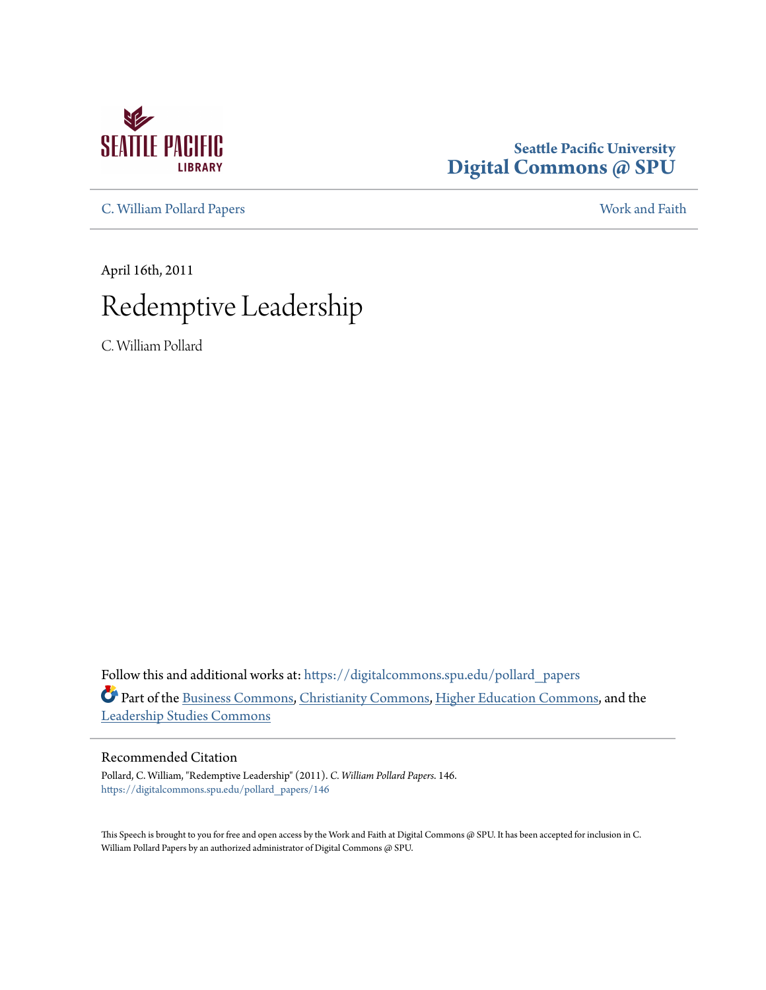

# **Seattle Pacific University [Digital Commons @ SPU](https://digitalcommons.spu.edu?utm_source=digitalcommons.spu.edu%2Fpollard_papers%2F146&utm_medium=PDF&utm_campaign=PDFCoverPages)**

[C. William Pollard Papers](https://digitalcommons.spu.edu/pollard_papers?utm_source=digitalcommons.spu.edu%2Fpollard_papers%2F146&utm_medium=PDF&utm_campaign=PDFCoverPages) [Work and Faith](https://digitalcommons.spu.edu/work_faith?utm_source=digitalcommons.spu.edu%2Fpollard_papers%2F146&utm_medium=PDF&utm_campaign=PDFCoverPages)

April 16th, 2011

# Redemptive Leadership

C. William Pollard

Follow this and additional works at: [https://digitalcommons.spu.edu/pollard\\_papers](https://digitalcommons.spu.edu/pollard_papers?utm_source=digitalcommons.spu.edu%2Fpollard_papers%2F146&utm_medium=PDF&utm_campaign=PDFCoverPages) Part of the [Business Commons,](http://network.bepress.com/hgg/discipline/622?utm_source=digitalcommons.spu.edu%2Fpollard_papers%2F146&utm_medium=PDF&utm_campaign=PDFCoverPages) [Christianity Commons](http://network.bepress.com/hgg/discipline/1181?utm_source=digitalcommons.spu.edu%2Fpollard_papers%2F146&utm_medium=PDF&utm_campaign=PDFCoverPages), [Higher Education Commons,](http://network.bepress.com/hgg/discipline/1245?utm_source=digitalcommons.spu.edu%2Fpollard_papers%2F146&utm_medium=PDF&utm_campaign=PDFCoverPages) and the [Leadership Studies Commons](http://network.bepress.com/hgg/discipline/1250?utm_source=digitalcommons.spu.edu%2Fpollard_papers%2F146&utm_medium=PDF&utm_campaign=PDFCoverPages)

#### Recommended Citation

Pollard, C. William, "Redemptive Leadership" (2011). *C. William Pollard Papers*. 146. [https://digitalcommons.spu.edu/pollard\\_papers/146](https://digitalcommons.spu.edu/pollard_papers/146?utm_source=digitalcommons.spu.edu%2Fpollard_papers%2F146&utm_medium=PDF&utm_campaign=PDFCoverPages)

This Speech is brought to you for free and open access by the Work and Faith at Digital Commons @ SPU. It has been accepted for inclusion in C. William Pollard Papers by an authorized administrator of Digital Commons @ SPU.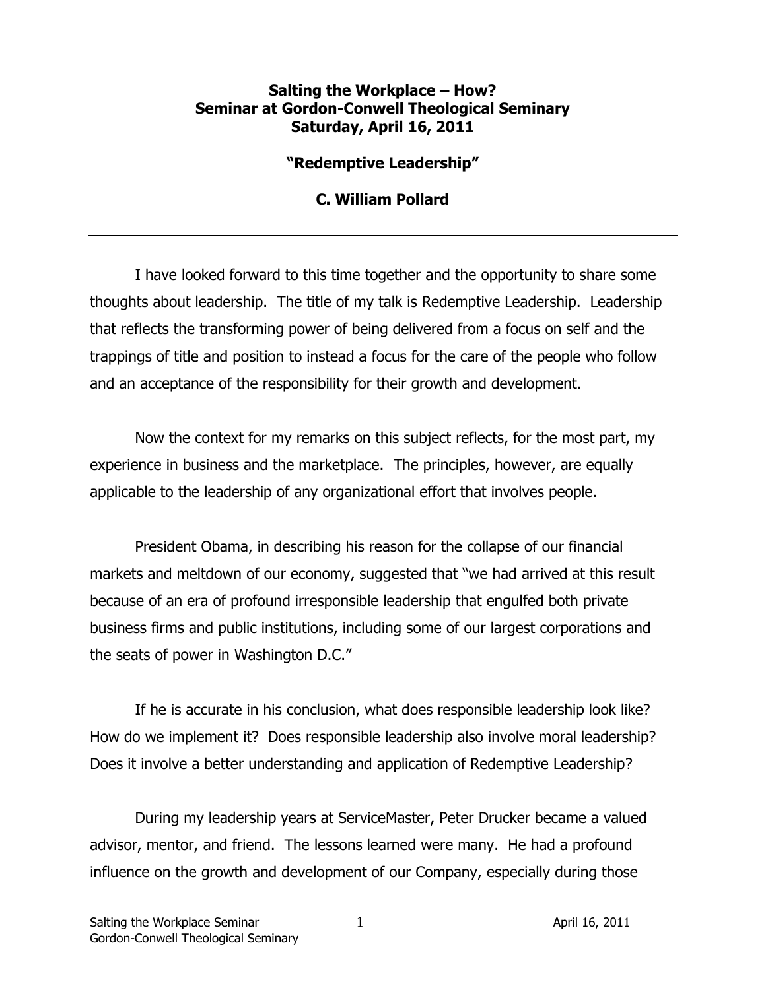#### **Salting the Workplace – How? Seminar at Gordon-Conwell Theological Seminary Saturday, April 16, 2011**

### **"Redemptive Leadership"**

## **C. William Pollard**

I have looked forward to this time together and the opportunity to share some thoughts about leadership. The title of my talk is Redemptive Leadership. Leadership that reflects the transforming power of being delivered from a focus on self and the trappings of title and position to instead a focus for the care of the people who follow and an acceptance of the responsibility for their growth and development.

Now the context for my remarks on this subject reflects, for the most part, my experience in business and the marketplace. The principles, however, are equally applicable to the leadership of any organizational effort that involves people.

President Obama, in describing his reason for the collapse of our financial markets and meltdown of our economy, suggested that "we had arrived at this result because of an era of profound irresponsible leadership that engulfed both private business firms and public institutions, including some of our largest corporations and the seats of power in Washington D.C."

If he is accurate in his conclusion, what does responsible leadership look like? How do we implement it? Does responsible leadership also involve moral leadership? Does it involve a better understanding and application of Redemptive Leadership?

During my leadership years at ServiceMaster, Peter Drucker became a valued advisor, mentor, and friend. The lessons learned were many. He had a profound influence on the growth and development of our Company, especially during those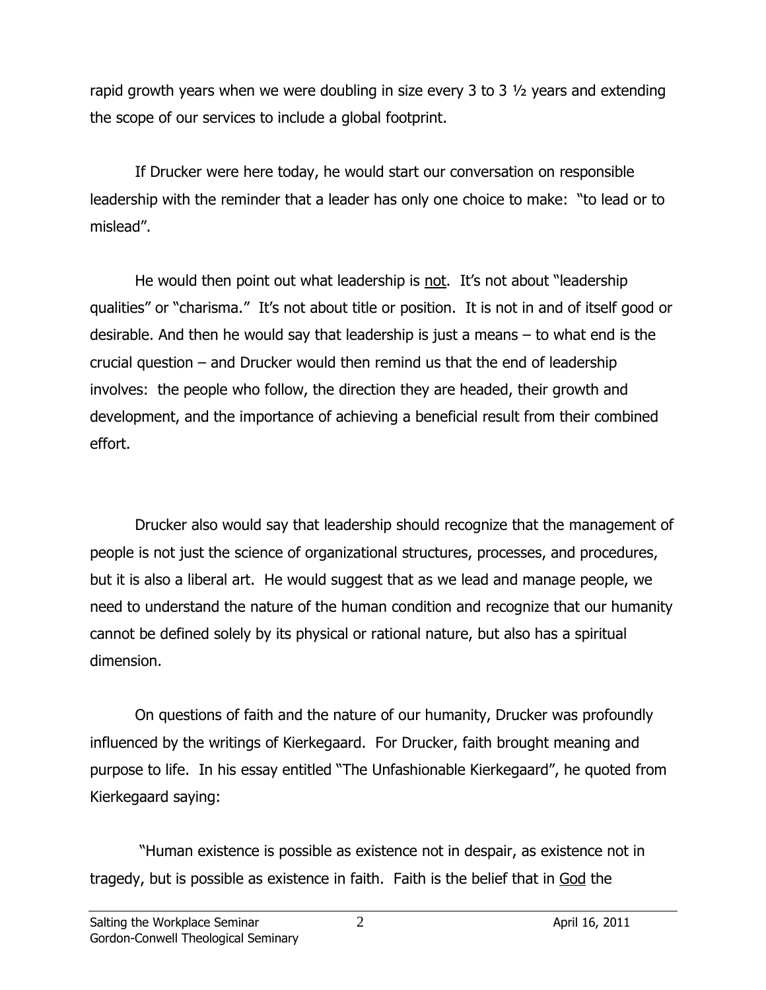rapid growth years when we were doubling in size every 3 to 3 ½ years and extending the scope of our services to include a global footprint.

If Drucker were here today, he would start our conversation on responsible leadership with the reminder that a leader has only one choice to make: "to lead or to mislead".

He would then point out what leadership is not. It's not about "leadership qualities" or "charisma." It's not about title or position. It is not in and of itself good or desirable. And then he would say that leadership is just a means – to what end is the crucial question – and Drucker would then remind us that the end of leadership involves: the people who follow, the direction they are headed, their growth and development, and the importance of achieving a beneficial result from their combined effort.

Drucker also would say that leadership should recognize that the management of people is not just the science of organizational structures, processes, and procedures, but it is also a liberal art. He would suggest that as we lead and manage people, we need to understand the nature of the human condition and recognize that our humanity cannot be defined solely by its physical or rational nature, but also has a spiritual dimension.

On questions of faith and the nature of our humanity, Drucker was profoundly influenced by the writings of Kierkegaard. For Drucker, faith brought meaning and purpose to life. In his essay entitled "The Unfashionable Kierkegaard", he quoted from Kierkegaard saying:

"Human existence is possible as existence not in despair, as existence not in tragedy, but is possible as existence in faith. Faith is the belief that in God the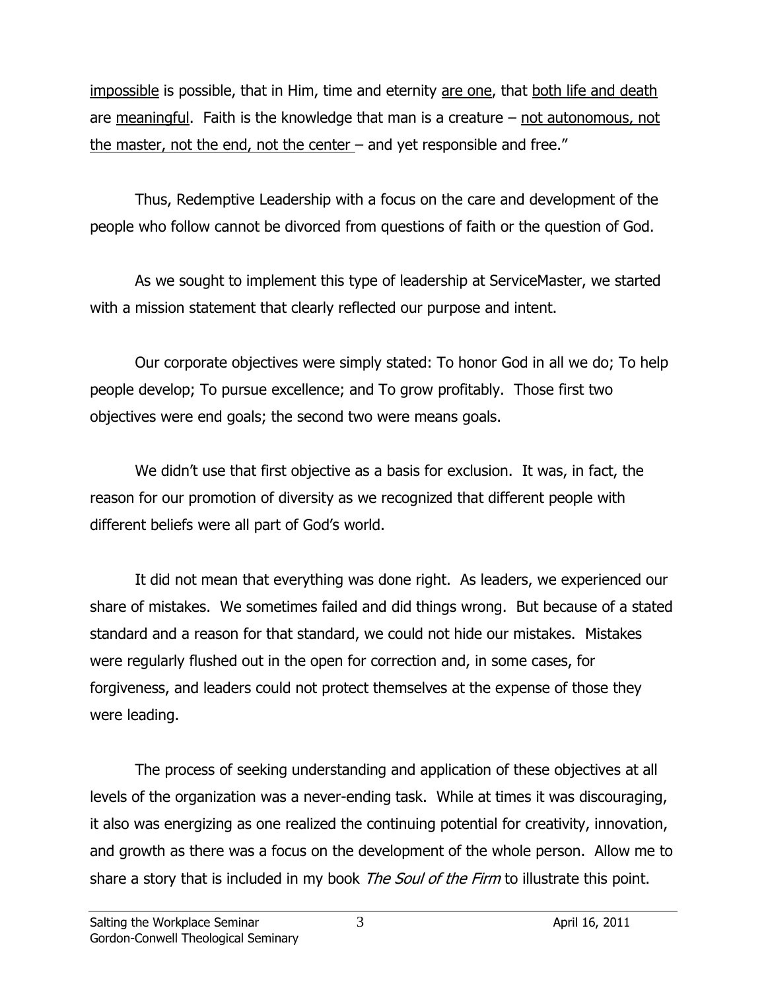impossible is possible, that in Him, time and eternity are one, that both life and death are meaningful. Faith is the knowledge that man is a creature – not autonomous, not the master, not the end, not the center  $-$  and yet responsible and free."

Thus, Redemptive Leadership with a focus on the care and development of the people who follow cannot be divorced from questions of faith or the question of God.

As we sought to implement this type of leadership at ServiceMaster, we started with a mission statement that clearly reflected our purpose and intent.

Our corporate objectives were simply stated: To honor God in all we do; To help people develop; To pursue excellence; and To grow profitably. Those first two objectives were end goals; the second two were means goals.

We didn't use that first objective as a basis for exclusion. It was, in fact, the reason for our promotion of diversity as we recognized that different people with different beliefs were all part of God's world.

It did not mean that everything was done right. As leaders, we experienced our share of mistakes. We sometimes failed and did things wrong. But because of a stated standard and a reason for that standard, we could not hide our mistakes. Mistakes were regularly flushed out in the open for correction and, in some cases, for forgiveness, and leaders could not protect themselves at the expense of those they were leading.

The process of seeking understanding and application of these objectives at all levels of the organization was a never-ending task. While at times it was discouraging, it also was energizing as one realized the continuing potential for creativity, innovation, and growth as there was a focus on the development of the whole person. Allow me to share a story that is included in my book *The Soul of the Firm* to illustrate this point.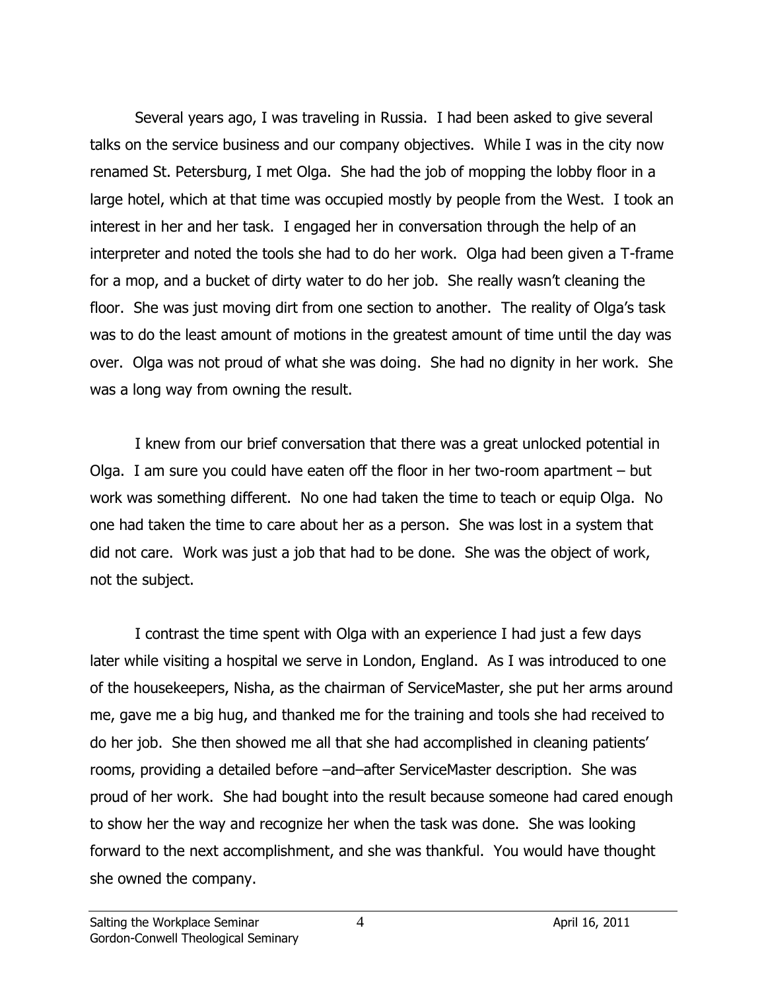Several years ago, I was traveling in Russia. I had been asked to give several talks on the service business and our company objectives. While I was in the city now renamed St. Petersburg, I met Olga. She had the job of mopping the lobby floor in a large hotel, which at that time was occupied mostly by people from the West. I took an interest in her and her task. I engaged her in conversation through the help of an interpreter and noted the tools she had to do her work. Olga had been given a T-frame for a mop, and a bucket of dirty water to do her job. She really wasn't cleaning the floor. She was just moving dirt from one section to another. The reality of Olga's task was to do the least amount of motions in the greatest amount of time until the day was over. Olga was not proud of what she was doing. She had no dignity in her work. She was a long way from owning the result.

I knew from our brief conversation that there was a great unlocked potential in Olga. I am sure you could have eaten off the floor in her two-room apartment – but work was something different. No one had taken the time to teach or equip Olga. No one had taken the time to care about her as a person. She was lost in a system that did not care. Work was just a job that had to be done. She was the object of work, not the subject.

I contrast the time spent with Olga with an experience I had just a few days later while visiting a hospital we serve in London, England. As I was introduced to one of the housekeepers, Nisha, as the chairman of ServiceMaster, she put her arms around me, gave me a big hug, and thanked me for the training and tools she had received to do her job. She then showed me all that she had accomplished in cleaning patients' rooms, providing a detailed before –and–after ServiceMaster description. She was proud of her work. She had bought into the result because someone had cared enough to show her the way and recognize her when the task was done. She was looking forward to the next accomplishment, and she was thankful. You would have thought she owned the company.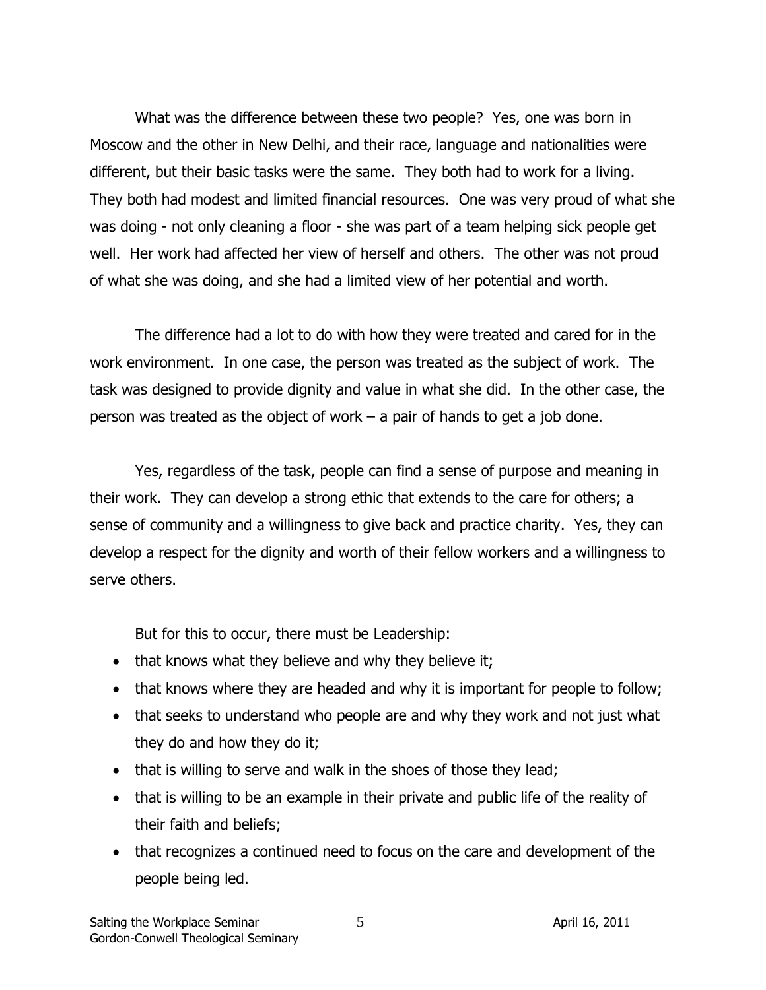What was the difference between these two people? Yes, one was born in Moscow and the other in New Delhi, and their race, language and nationalities were different, but their basic tasks were the same. They both had to work for a living. They both had modest and limited financial resources. One was very proud of what she was doing - not only cleaning a floor - she was part of a team helping sick people get well. Her work had affected her view of herself and others. The other was not proud of what she was doing, and she had a limited view of her potential and worth.

The difference had a lot to do with how they were treated and cared for in the work environment. In one case, the person was treated as the subject of work. The task was designed to provide dignity and value in what she did. In the other case, the person was treated as the object of work – a pair of hands to get a job done.

Yes, regardless of the task, people can find a sense of purpose and meaning in their work. They can develop a strong ethic that extends to the care for others; a sense of community and a willingness to give back and practice charity. Yes, they can develop a respect for the dignity and worth of their fellow workers and a willingness to serve others.

But for this to occur, there must be Leadership:

- that knows what they believe and why they believe it;
- that knows where they are headed and why it is important for people to follow;
- that seeks to understand who people are and why they work and not just what they do and how they do it;
- that is willing to serve and walk in the shoes of those they lead;
- that is willing to be an example in their private and public life of the reality of their faith and beliefs;
- that recognizes a continued need to focus on the care and development of the people being led.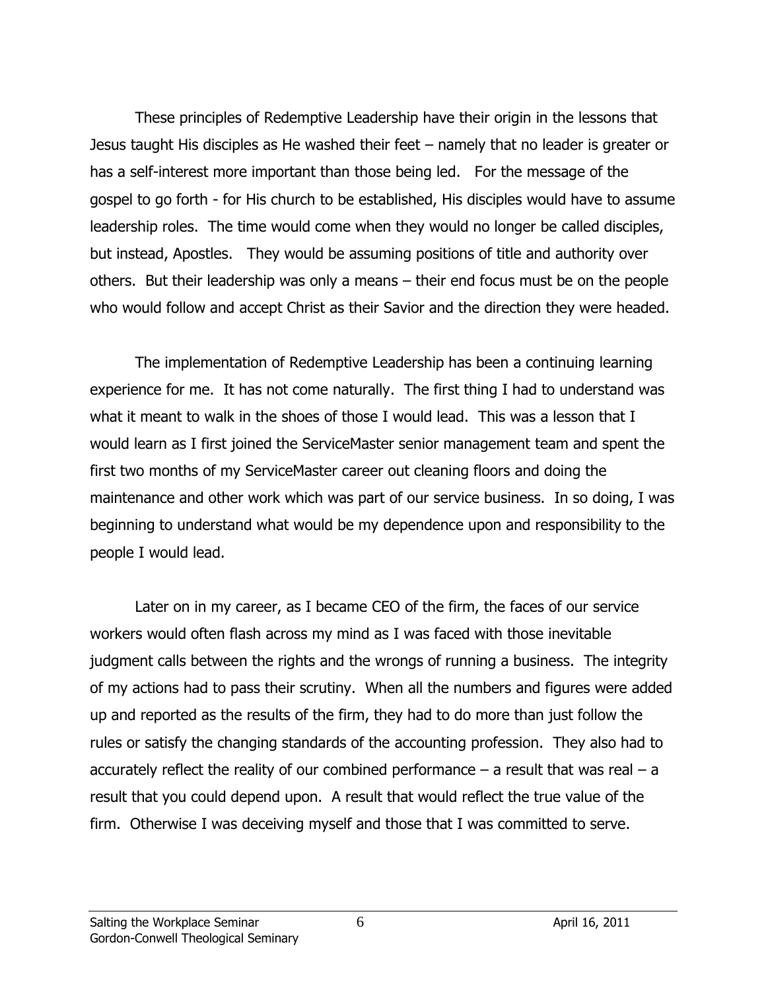These principles of Redemptive Leadership have their origin in the lessons that Jesus taught His disciples as He washed their feet – namely that no leader is greater or has a self-interest more important than those being led. For the message of the gospel to go forth - for His church to be established, His disciples would have to assume leadership roles. The time would come when they would no longer be called disciples, but instead, Apostles. They would be assuming positions of title and authority over others. But their leadership was only a means – their end focus must be on the people who would follow and accept Christ as their Savior and the direction they were headed.

The implementation of Redemptive Leadership has been a continuing learning experience for me. It has not come naturally. The first thing I had to understand was what it meant to walk in the shoes of those I would lead. This was a lesson that I would learn as I first joined the ServiceMaster senior management team and spent the first two months of my ServiceMaster career out cleaning floors and doing the maintenance and other work which was part of our service business. In so doing, I was beginning to understand what would be my dependence upon and responsibility to the people I would lead.

Later on in my career, as I became CEO of the firm, the faces of our service workers would often flash across my mind as I was faced with those inevitable judgment calls between the rights and the wrongs of running a business. The integrity of my actions had to pass their scrutiny. When all the numbers and figures were added up and reported as the results of the firm, they had to do more than just follow the rules or satisfy the changing standards of the accounting profession. They also had to accurately reflect the reality of our combined performance  $-$  a result that was real  $-$  a result that you could depend upon. A result that would reflect the true value of the firm. Otherwise I was deceiving myself and those that I was committed to serve.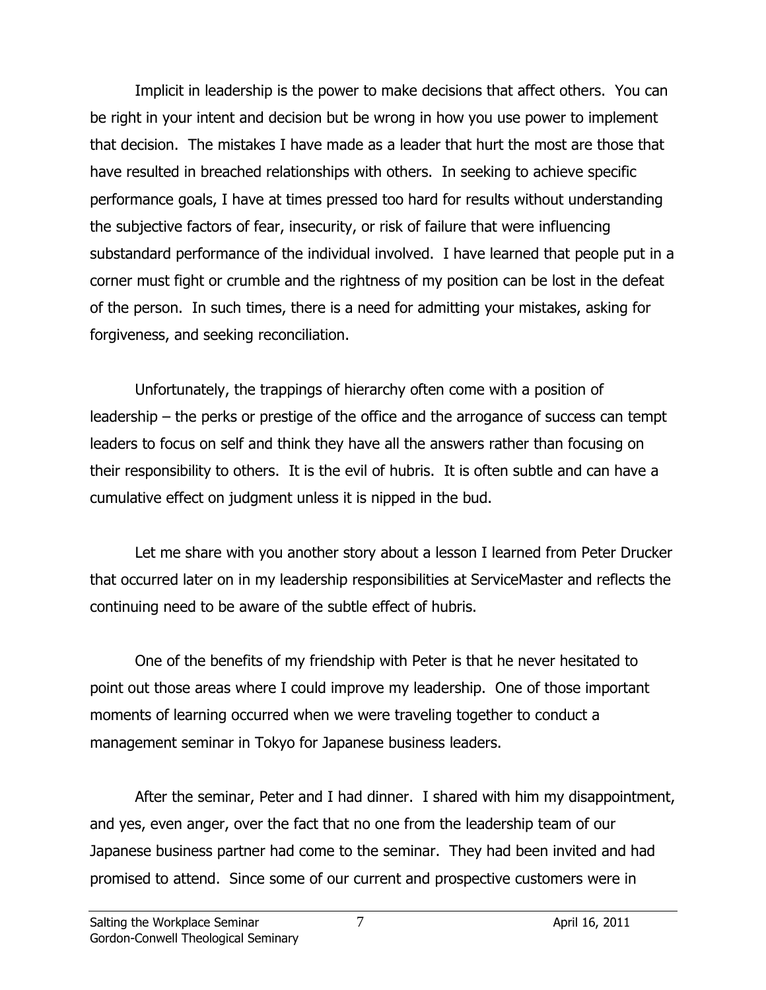Implicit in leadership is the power to make decisions that affect others. You can be right in your intent and decision but be wrong in how you use power to implement that decision. The mistakes I have made as a leader that hurt the most are those that have resulted in breached relationships with others. In seeking to achieve specific performance goals, I have at times pressed too hard for results without understanding the subjective factors of fear, insecurity, or risk of failure that were influencing substandard performance of the individual involved. I have learned that people put in a corner must fight or crumble and the rightness of my position can be lost in the defeat of the person. In such times, there is a need for admitting your mistakes, asking for forgiveness, and seeking reconciliation.

Unfortunately, the trappings of hierarchy often come with a position of leadership – the perks or prestige of the office and the arrogance of success can tempt leaders to focus on self and think they have all the answers rather than focusing on their responsibility to others. It is the evil of hubris. It is often subtle and can have a cumulative effect on judgment unless it is nipped in the bud.

Let me share with you another story about a lesson I learned from Peter Drucker that occurred later on in my leadership responsibilities at ServiceMaster and reflects the continuing need to be aware of the subtle effect of hubris.

One of the benefits of my friendship with Peter is that he never hesitated to point out those areas where I could improve my leadership. One of those important moments of learning occurred when we were traveling together to conduct a management seminar in Tokyo for Japanese business leaders.

After the seminar, Peter and I had dinner. I shared with him my disappointment, and yes, even anger, over the fact that no one from the leadership team of our Japanese business partner had come to the seminar. They had been invited and had promised to attend. Since some of our current and prospective customers were in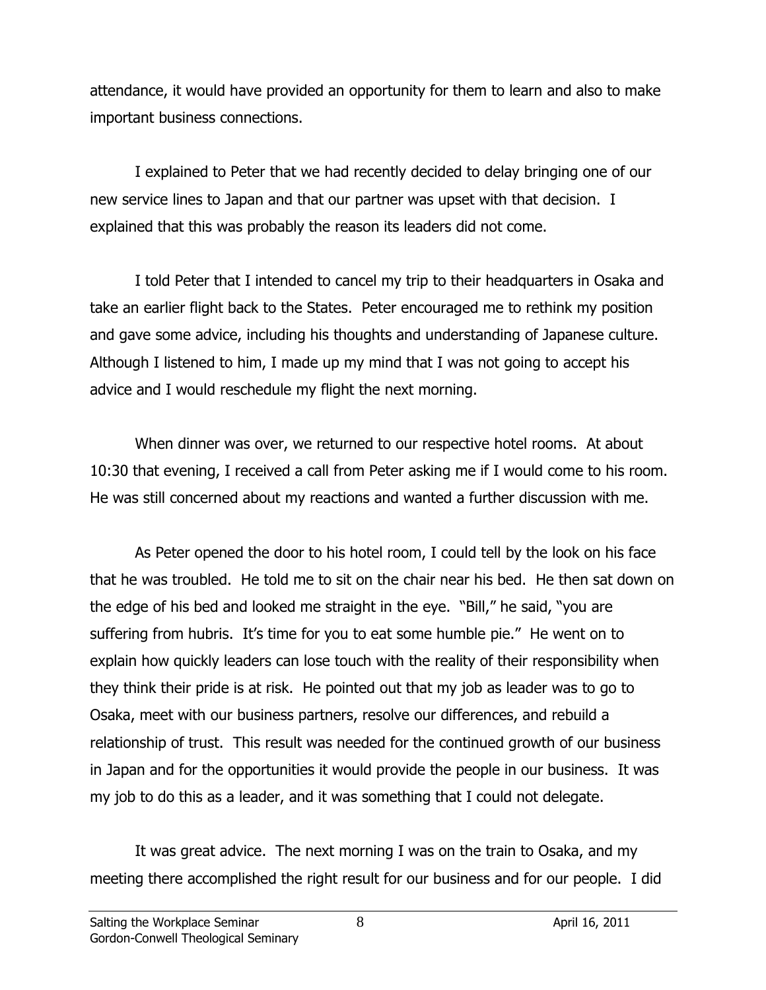attendance, it would have provided an opportunity for them to learn and also to make important business connections.

I explained to Peter that we had recently decided to delay bringing one of our new service lines to Japan and that our partner was upset with that decision. I explained that this was probably the reason its leaders did not come.

I told Peter that I intended to cancel my trip to their headquarters in Osaka and take an earlier flight back to the States. Peter encouraged me to rethink my position and gave some advice, including his thoughts and understanding of Japanese culture. Although I listened to him, I made up my mind that I was not going to accept his advice and I would reschedule my flight the next morning.

When dinner was over, we returned to our respective hotel rooms. At about 10:30 that evening, I received a call from Peter asking me if I would come to his room. He was still concerned about my reactions and wanted a further discussion with me.

As Peter opened the door to his hotel room, I could tell by the look on his face that he was troubled. He told me to sit on the chair near his bed. He then sat down on the edge of his bed and looked me straight in the eye. "Bill," he said, "you are suffering from hubris. It's time for you to eat some humble pie." He went on to explain how quickly leaders can lose touch with the reality of their responsibility when they think their pride is at risk. He pointed out that my job as leader was to go to Osaka, meet with our business partners, resolve our differences, and rebuild a relationship of trust. This result was needed for the continued growth of our business in Japan and for the opportunities it would provide the people in our business. It was my job to do this as a leader, and it was something that I could not delegate.

It was great advice. The next morning I was on the train to Osaka, and my meeting there accomplished the right result for our business and for our people. I did